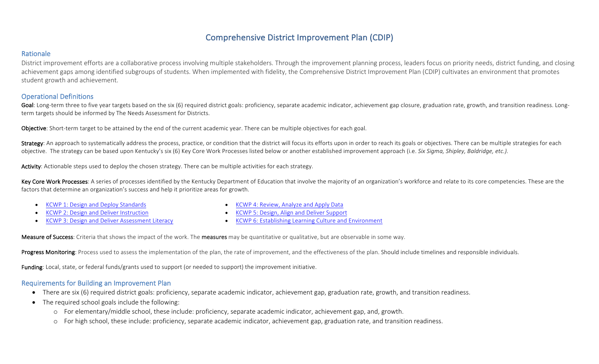# Comprehensive District Improvement Plan (CDIP)

## Rationale

District improvement efforts are a collaborative process involving multiple stakeholders. Through the improvement planning process, leaders focus on priority needs, district funding, and closing achievement gaps among identified subgroups of students. When implemented with fidelity, the Comprehensive District Improvement Plan (CDIP) cultivates an environment that promotes student growth and achievement.

## **Operational Definitions**

Goal: Long-term three to five year targets based on the six (6) required district goals: proficiency, separate academic indicator, achievement gap closure, graduation rate, growth, and transition readiness. Longterm targets should be informed by The Needs Assessment for Districts.

Objective: Short-term target to be attained by the end of the current academic year. There can be multiple objectives for each goal.

Strategy: An approach to systematically address the process, practice, or condition that the district will focus its efforts upon in order to reach its goals or objectives. There can be multiple strategies for each objective. The strategy can be based upon Kentucky's six (6) Key Core Work Processes listed below or another established improvement approach (i.e. Six Sigma, Shipley, Baldridge, etc.).

Activity: Actionable steps used to deploy the chosen strategy. There can be multiple activities for each strategy.

Key Core Work Processes: A series of processes identified by the Kentucky Department of Education that involve the majority of an organization's workforce and relate to its core competencies. These are the factors that determine an organization's success and help it prioritize areas for growth.

KCWP 1: Design and Deploy Standards

• KCWP 4: Review, Analyze and Apply Data

- KCWP 2: Design and Deliver Instruction
- KCWP 3: Design and Deliver Assessment Literacy
- KCWP 5: Design, Align and Deliver Support
- KCWP 6: Establishing Learning Culture and Environment

Measure of Success: Criteria that shows the impact of the work. The measures may be quantitative or qualitative, but are observable in some way.

Progress Monitoring: Process used to assess the implementation of the plan, the rate of improvement, and the effectiveness of the plan. Should include timelines and responsible individuals.

Funding: Local, state, or federal funds/grants used to support (or needed to support) the improvement initiative.

#### Requirements for Building an Improvement Plan

- There are six (6) required district goals: proficiency, separate academic indicator, achievement gap, graduation rate, growth, and transition readiness.
- $\bullet$  The required school goals include the following:
	- $\circ$  For elementary/middle school, these include: proficiency, separate academic indicator, achievement gap, and, growth.
	- o For high school, these include: proficiency, separate academic indicator, achievement gap, graduation rate, and transition readiness.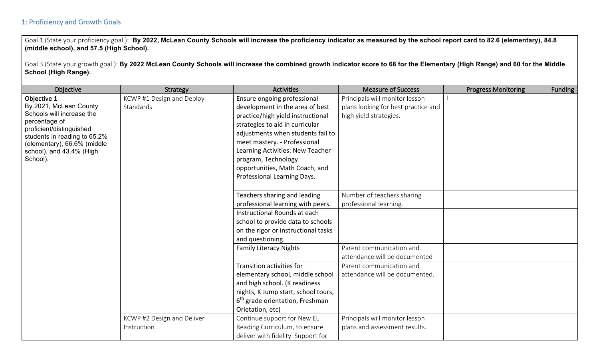## 1: Proficiency and Growth Goals

Goal 1 (State your proficiency goal.): By 2022, McLean County Schools will increase the proficiency indicator as measured by the school report card to 82.6 (elementary), 84.8 **(middle school), and 57.5 (High School).**

Goal 3 (State your growth goal.): By 2022 McLean County Schools will increase the combined growth indicator score to 68 for the Elementary (High Range) and 60 for the Middle **School (High Range).**

| Objective                                 | Strategy                   | <b>Activities</b>                           | <b>Measure of Success</b>           | <b>Progress Monitoring</b> | <b>Funding</b> |
|-------------------------------------------|----------------------------|---------------------------------------------|-------------------------------------|----------------------------|----------------|
| Objective 1                               | KCWP #1 Design and Deploy  | Ensure ongoing professional                 | Principals will monitor lesson      |                            |                |
| By 2021, McLean County                    | Standards                  | development in the area of best             | plans looking for best practice and |                            |                |
| Schools will increase the                 |                            | practice/high yield instructional           | high yield strategies.              |                            |                |
| percentage of<br>proficient/distinguished |                            | strategies to aid in curricular             |                                     |                            |                |
| students in reading to 65.2%              |                            | adjustments when students fail to           |                                     |                            |                |
| (elementary), 66.6% (middle               |                            | meet mastery. - Professional                |                                     |                            |                |
| school), and 43.4% (High                  |                            | Learning Activities: New Teacher            |                                     |                            |                |
| School).                                  |                            | program, Technology                         |                                     |                            |                |
|                                           |                            | opportunities, Math Coach, and              |                                     |                            |                |
|                                           |                            | Professional Learning Days.                 |                                     |                            |                |
|                                           |                            |                                             |                                     |                            |                |
|                                           |                            | Teachers sharing and leading                | Number of teachers sharing          |                            |                |
|                                           |                            | professional learning with peers.           | professional learning.              |                            |                |
|                                           |                            | Instructional Rounds at each                |                                     |                            |                |
|                                           |                            | school to provide data to schools           |                                     |                            |                |
|                                           |                            | on the rigor or instructional tasks         |                                     |                            |                |
|                                           |                            | and questioning.                            |                                     |                            |                |
|                                           |                            | <b>Family Literacy Nights</b>               | Parent communication and            |                            |                |
|                                           |                            |                                             | attendance will be documented       |                            |                |
|                                           |                            | Transition activities for                   | Parent communication and            |                            |                |
|                                           |                            | elementary school, middle school            | attendance will be documented.      |                            |                |
|                                           |                            | and high school. (K readiness               |                                     |                            |                |
|                                           |                            | nights, K Jump start, school tours,         |                                     |                            |                |
|                                           |                            | 6 <sup>th</sup> grade orientation, Freshman |                                     |                            |                |
|                                           |                            | Orietation, etc)                            |                                     |                            |                |
|                                           | KCWP #2 Design and Deliver | Continue support for New EL                 | Principals will monitor lesson      |                            |                |
|                                           | Instruction                | Reading Curriculum, to ensure               | plans and assessment results.       |                            |                |
|                                           |                            | deliver with fidelity. Support for          |                                     |                            |                |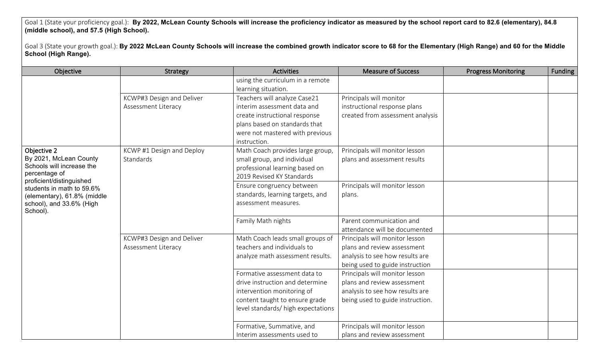Goal 1 (State your proficiency goal.): **By 2022, McLean County Schools will increase the proficiency indicator as measured by the school report card to 82.6 (elementary), 84.8 (middle school), and 57.5 (High School).**

Goal 3 (State your growth goal.): By 2022 McLean County Schools will increase the combined growth indicator score to 68 for the Elementary (High Range) and 60 for the Middle **School (High Range).**

| Objective                                  | Strategy                  | <b>Activities</b>                  | <b>Measure of Success</b>        | <b>Progress Monitoring</b> | <b>Funding</b> |
|--------------------------------------------|---------------------------|------------------------------------|----------------------------------|----------------------------|----------------|
|                                            |                           | using the curriculum in a remote   |                                  |                            |                |
|                                            |                           | learning situation.                |                                  |                            |                |
|                                            | KCWP#3 Design and Deliver | Teachers will analyze Case21       | Principals will monitor          |                            |                |
|                                            | Assessment Literacy       | interim assessment data and        | instructional response plans     |                            |                |
|                                            |                           | create instructional response      | created from assessment analysis |                            |                |
|                                            |                           | plans based on standards that      |                                  |                            |                |
|                                            |                           | were not mastered with previous    |                                  |                            |                |
|                                            |                           | instruction.                       |                                  |                            |                |
| Objective 2                                | KCWP #1 Design and Deploy | Math Coach provides large group,   | Principals will monitor lesson   |                            |                |
| By 2021, McLean County                     | Standards                 | small group, and individual        | plans and assessment results     |                            |                |
| Schools will increase the<br>percentage of |                           | professional learning based on     |                                  |                            |                |
| proficient/distinguished                   |                           | 2019 Revised KY Standards          |                                  |                            |                |
| students in math to 59.6%                  |                           | Ensure congruency between          | Principals will monitor lesson   |                            |                |
| (elementary), 61.8% (middle                |                           | standards, learning targets, and   | plans.                           |                            |                |
| school), and 33.6% (High                   |                           | assessment measures.               |                                  |                            |                |
| School).                                   |                           |                                    |                                  |                            |                |
|                                            |                           | Family Math nights                 | Parent communication and         |                            |                |
|                                            |                           |                                    | attendance will be documented    |                            |                |
|                                            | KCWP#3 Design and Deliver | Math Coach leads small groups of   | Principals will monitor lesson   |                            |                |
|                                            | Assessment Literacy       | teachers and individuals to        | plans and review assessment      |                            |                |
|                                            |                           | analyze math assessment results.   | analysis to see how results are  |                            |                |
|                                            |                           |                                    | being used to guide instruction  |                            |                |
|                                            |                           | Formative assessment data to       | Principals will monitor lesson   |                            |                |
|                                            |                           | drive instruction and determine    | plans and review assessment      |                            |                |
|                                            |                           | intervention monitoring of         | analysis to see how results are  |                            |                |
|                                            |                           | content taught to ensure grade     | being used to guide instruction. |                            |                |
|                                            |                           | level standards/ high expectations |                                  |                            |                |
|                                            |                           | Formative, Summative, and          | Principals will monitor lesson   |                            |                |
|                                            |                           | Interim assessments used to        | plans and review assessment      |                            |                |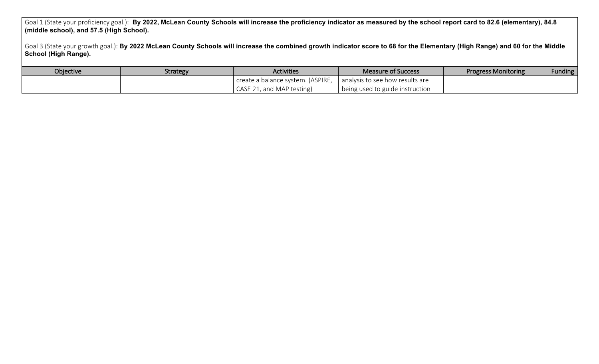Goal 1 (State your proficiency goal.): **By 2022, McLean County Schools will increase the proficiency indicator as measured by the school report card to 82.6 (elementary), 84.8 (middle school), and 57.5 (High School).**

Goal 3 (State your growth goal.): By 2022 McLean County Schools will increase the combined growth indicator score to 68 for the Elementary (High Range) and 60 for the Middle **School (High Range).**

| Objective | <b>Strategy</b> | <b>Activities</b>                 | <b>Measure of Success</b>       | <b>Progress Monitoring</b> | <b>Funding</b> |
|-----------|-----------------|-----------------------------------|---------------------------------|----------------------------|----------------|
|           |                 | create a balance system. (ASPIRE, | analysis to see how results are |                            |                |
|           |                 | CASE 21, and MAP testing)         | being used to guide instruction |                            |                |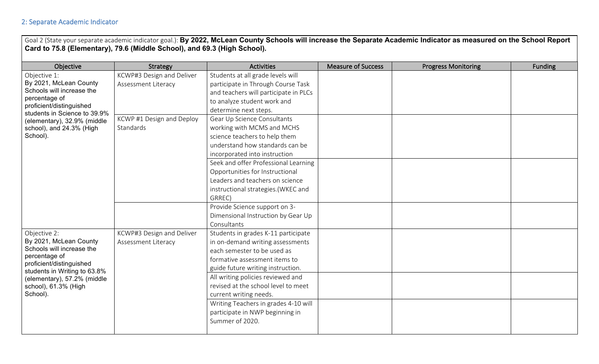Goal 2 (State your separate academic indicator goal.): By 2022, McLean County Schools will increase the Separate Academic Indicator as measured on the School Report **Card to 75.8 (Elementary), 79.6 (Middle School), and 69.3 (High School).**

| Objective                                                                                                                                                                 | Strategy                  | <b>Activities</b>                     | <b>Measure of Success</b> | <b>Progress Monitoring</b> | <b>Funding</b> |
|---------------------------------------------------------------------------------------------------------------------------------------------------------------------------|---------------------------|---------------------------------------|---------------------------|----------------------------|----------------|
| Objective 1:                                                                                                                                                              | KCWP#3 Design and Deliver | Students at all grade levels will     |                           |                            |                |
| By 2021, McLean County                                                                                                                                                    | Assessment Literacy       | participate in Through Course Task    |                           |                            |                |
| Schools will increase the                                                                                                                                                 |                           | and teachers will participate in PLCs |                           |                            |                |
| percentage of<br>proficient/distinguished                                                                                                                                 |                           | to analyze student work and           |                           |                            |                |
| students in Science to 39.9%                                                                                                                                              |                           | determine next steps.                 |                           |                            |                |
| (elementary), 32.9% (middle                                                                                                                                               | KCWP #1 Design and Deploy | Gear Up Science Consultants           |                           |                            |                |
| school), and 24.3% (High                                                                                                                                                  | Standards                 | working with MCMS and MCHS            |                           |                            |                |
| School).                                                                                                                                                                  |                           | science teachers to help them         |                           |                            |                |
|                                                                                                                                                                           |                           | understand how standards can be       |                           |                            |                |
|                                                                                                                                                                           |                           | incorporated into instruction         |                           |                            |                |
|                                                                                                                                                                           |                           | Seek and offer Professional Learning  |                           |                            |                |
|                                                                                                                                                                           |                           | Opportunities for Instructional       |                           |                            |                |
|                                                                                                                                                                           |                           | Leaders and teachers on science       |                           |                            |                |
|                                                                                                                                                                           |                           | instructional strategies.(WKEC and    |                           |                            |                |
|                                                                                                                                                                           |                           | GRREC)                                |                           |                            |                |
|                                                                                                                                                                           |                           | Provide Science support on 3-         |                           |                            |                |
|                                                                                                                                                                           |                           | Dimensional Instruction by Gear Up    |                           |                            |                |
|                                                                                                                                                                           |                           | Consultants                           |                           |                            |                |
| Objective 2:                                                                                                                                                              | KCWP#3 Design and Deliver | Students in grades K-11 participate   |                           |                            |                |
| By 2021, McLean County                                                                                                                                                    | Assessment Literacy       | in on-demand writing assessments      |                           |                            |                |
| Schools will increase the<br>percentage of<br>proficient/distinguished<br>students in Writing to 63.8%<br>(elementary), 57.2% (middle<br>school), 61.3% (High<br>School). |                           | each semester to be used as           |                           |                            |                |
|                                                                                                                                                                           |                           | formative assessment items to         |                           |                            |                |
|                                                                                                                                                                           |                           | guide future writing instruction.     |                           |                            |                |
|                                                                                                                                                                           |                           | All writing policies reviewed and     |                           |                            |                |
|                                                                                                                                                                           |                           | revised at the school level to meet   |                           |                            |                |
|                                                                                                                                                                           |                           | current writing needs.                |                           |                            |                |
|                                                                                                                                                                           |                           | Writing Teachers in grades 4-10 will  |                           |                            |                |
|                                                                                                                                                                           |                           | participate in NWP beginning in       |                           |                            |                |
|                                                                                                                                                                           |                           | Summer of 2020.                       |                           |                            |                |
|                                                                                                                                                                           |                           |                                       |                           |                            |                |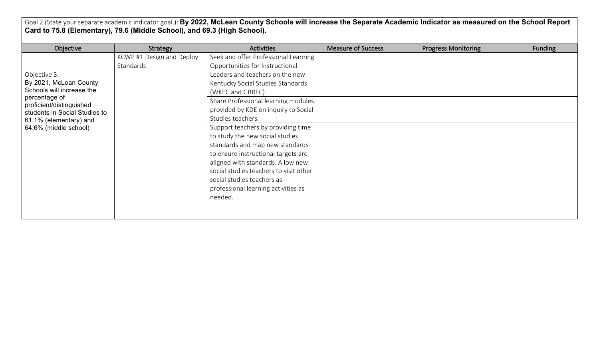Goal 2 (State your separate academic indicator goal.): By 2022, McLean County Schools will increase the Separate Academic Indicator as measured on the School Report **Card to 75.8 (Elementary), 79.6 (Middle School), and 69.3 (High School).**

| Objective                                 | Strategy                  | <b>Activities</b>                      | <b>Measure of Success</b> | <b>Progress Monitoring</b> | <b>Funding</b> |
|-------------------------------------------|---------------------------|----------------------------------------|---------------------------|----------------------------|----------------|
|                                           | KCWP #1 Design and Deploy | Seek and offer Professional Learning   |                           |                            |                |
|                                           | Standards                 | Opportunities for Instructional        |                           |                            |                |
| Objective 3:                              |                           | Leaders and teachers on the new        |                           |                            |                |
| By 2021, McLean County                    |                           | Kentucky Social Studies Standards      |                           |                            |                |
| Schools will increase the                 |                           | (WKEC and GRREC)                       |                           |                            |                |
| percentage of<br>proficient/distinguished |                           | Share Professional learning modules    |                           |                            |                |
| students in Social Studies to             |                           | provided by KDE on inquiry to Social   |                           |                            |                |
| 61.1% (elementary) and                    |                           | Studies teachers.                      |                           |                            |                |
| 64.6% (middle school)                     |                           | Support teachers by providing time     |                           |                            |                |
|                                           |                           | to study the new social studies        |                           |                            |                |
|                                           |                           | standards and map new standards        |                           |                            |                |
|                                           |                           | to ensure instructional targets are    |                           |                            |                |
|                                           |                           | aligned with standards. Allow new      |                           |                            |                |
|                                           |                           | social studies teachers to visit other |                           |                            |                |
|                                           |                           | social studies teachers as             |                           |                            |                |
|                                           |                           | professional learning activities as    |                           |                            |                |
|                                           |                           | needed.                                |                           |                            |                |
|                                           |                           |                                        |                           |                            |                |
|                                           |                           |                                        |                           |                            |                |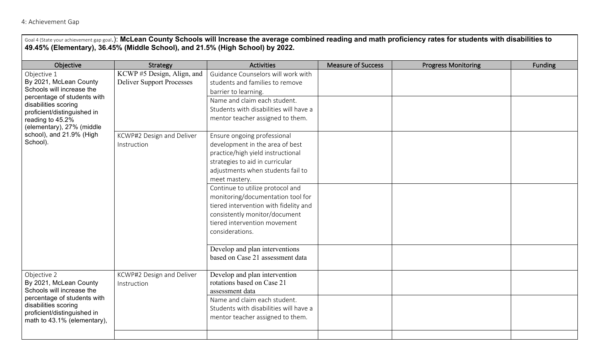## 4: Achievement Gap

| Goal 4 (State your achievement gap goal.): McLean County Schools will Increase the average combined reading and math proficiency rates for students with disabilities to<br>49.45% (Elementary), 36.45% (Middle School), and 21.5% (High School) by 2022. |                                                                                    |                                                                                                                                                                                                                                                                                                                                                                                                                                                                          |                           |                            |                |  |
|-----------------------------------------------------------------------------------------------------------------------------------------------------------------------------------------------------------------------------------------------------------|------------------------------------------------------------------------------------|--------------------------------------------------------------------------------------------------------------------------------------------------------------------------------------------------------------------------------------------------------------------------------------------------------------------------------------------------------------------------------------------------------------------------------------------------------------------------|---------------------------|----------------------------|----------------|--|
| Objective                                                                                                                                                                                                                                                 | Strategy                                                                           | <b>Activities</b>                                                                                                                                                                                                                                                                                                                                                                                                                                                        | <b>Measure of Success</b> | <b>Progress Monitoring</b> | <b>Funding</b> |  |
| Objective 1<br>By 2021, McLean County<br>Schools will increase the<br>percentage of students with<br>disabilities scoring<br>proficient/distinguished in<br>reading to 45.2%<br>(elementary), 27% (middle<br>school), and 21.9% (High<br>School).         | $\overline{\text{KCWP}}$ #5 Design, Align, and<br><b>Deliver Support Processes</b> | Guidance Counselors will work with<br>students and families to remove<br>barrier to learning.<br>Name and claim each student.<br>Students with disabilities will have a<br>mentor teacher assigned to them.                                                                                                                                                                                                                                                              |                           |                            |                |  |
|                                                                                                                                                                                                                                                           | KCWP#2 Design and Deliver<br>Instruction                                           | Ensure ongoing professional<br>development in the area of best<br>practice/high yield instructional<br>strategies to aid in curricular<br>adjustments when students fail to<br>meet mastery.<br>Continue to utilize protocol and<br>monitoring/documentation tool for<br>tiered intervention with fidelity and<br>consistently monitor/document<br>tiered intervention movement<br>considerations.<br>Develop and plan interventions<br>based on Case 21 assessment data |                           |                            |                |  |
| Objective 2<br>By 2021, McLean County<br>Schools will increase the<br>percentage of students with<br>disabilities scoring<br>proficient/distinguished in<br>math to 43.1% (elementary),                                                                   | KCWP#2 Design and Deliver<br>Instruction                                           | Develop and plan intervention<br>rotations based on Case 21<br>assessment data<br>Name and claim each student.<br>Students with disabilities will have a<br>mentor teacher assigned to them.                                                                                                                                                                                                                                                                             |                           |                            |                |  |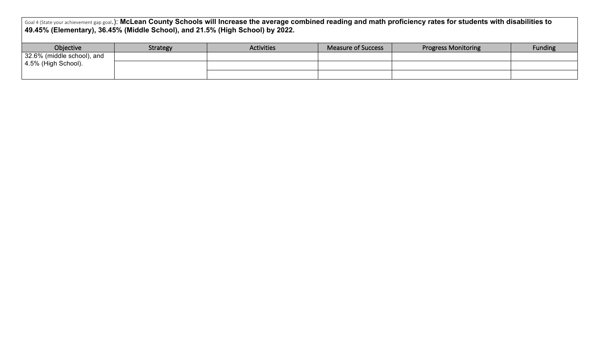Goal 4 (State your achievement gap goal.): McLean County Schools will Increase the average combined reading and math proficiency rates for students with disabilities to **49.45% (Elementary), 36.45% (Middle School), and 21.5% (High School) by 2022.**

| Objective                   | <b>Strategy</b> | <b>Activities</b> | Measure of Success | <b>Progress Monitoring</b> | <b>Funding</b> |
|-----------------------------|-----------------|-------------------|--------------------|----------------------------|----------------|
| 32.6% (middle school), and  |                 |                   |                    |                            |                |
| $\vert$ 4.5% (High School). |                 |                   |                    |                            |                |
|                             |                 |                   |                    |                            |                |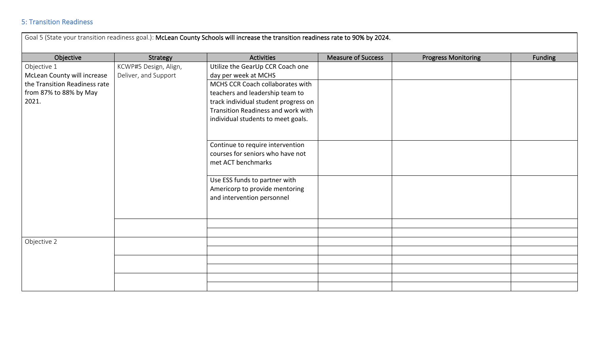## **5: Transition Readiness**

| Goal 5 (State your transition readiness goal.): McLean County Schools will increase the transition readiness rate to 90% by 2024. |                                               |                                                                                                                                                                                         |                           |                            |         |  |  |
|-----------------------------------------------------------------------------------------------------------------------------------|-----------------------------------------------|-----------------------------------------------------------------------------------------------------------------------------------------------------------------------------------------|---------------------------|----------------------------|---------|--|--|
| Objective                                                                                                                         | Strategy                                      | <b>Activities</b>                                                                                                                                                                       | <b>Measure of Success</b> | <b>Progress Monitoring</b> | Funding |  |  |
| Objective 1<br>McLean County will increase                                                                                        | KCWP#5 Design, Align,<br>Deliver, and Support | Utilize the GearUp CCR Coach one<br>day per week at MCHS                                                                                                                                |                           |                            |         |  |  |
| the Transition Readiness rate<br>from 87% to 88% by May<br>2021.                                                                  |                                               | MCHS CCR Coach collaborates with<br>teachers and leadership team to<br>track individual student progress on<br>Transition Readiness and work with<br>individual students to meet goals. |                           |                            |         |  |  |
|                                                                                                                                   |                                               | Continue to require intervention<br>courses for seniors who have not<br>met ACT benchmarks                                                                                              |                           |                            |         |  |  |
|                                                                                                                                   |                                               | Use ESS funds to partner with<br>Americorp to provide mentoring<br>and intervention personnel                                                                                           |                           |                            |         |  |  |
|                                                                                                                                   |                                               |                                                                                                                                                                                         |                           |                            |         |  |  |
| Objective 2                                                                                                                       |                                               |                                                                                                                                                                                         |                           |                            |         |  |  |
|                                                                                                                                   |                                               |                                                                                                                                                                                         |                           |                            |         |  |  |
|                                                                                                                                   |                                               |                                                                                                                                                                                         |                           |                            |         |  |  |
|                                                                                                                                   |                                               |                                                                                                                                                                                         |                           |                            |         |  |  |
|                                                                                                                                   |                                               |                                                                                                                                                                                         |                           |                            |         |  |  |
|                                                                                                                                   |                                               |                                                                                                                                                                                         |                           |                            |         |  |  |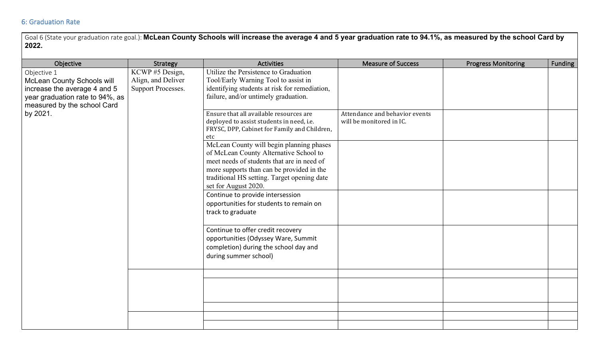## 6: Graduation Rate

Goal 6 (State your graduation rate goal.): McLean County Schools will increase the average 4 and 5 year graduation rate to 94.1%, as measured by the school Card by **2022.**

| Objective                                                                                                                                          | Strategy                                                          | <b>Activities</b>                                                                                                                                                                                                                                    | <b>Measure of Success</b>                                  | <b>Progress Monitoring</b> | Funding |
|----------------------------------------------------------------------------------------------------------------------------------------------------|-------------------------------------------------------------------|------------------------------------------------------------------------------------------------------------------------------------------------------------------------------------------------------------------------------------------------------|------------------------------------------------------------|----------------------------|---------|
| Objective 1<br><b>McLean County Schools will</b><br>increase the average 4 and 5<br>year graduation rate to 94%, as<br>measured by the school Card | KCWP#5 Design,<br>Align, and Deliver<br><b>Support Processes.</b> | Utilize the Persistence to Graduation<br>Tool/Early Warning Tool to assist in<br>identifying students at risk for remediation,<br>failure, and/or untimely graduation.                                                                               |                                                            |                            |         |
| by 2021.                                                                                                                                           |                                                                   | Ensure that all available resources are<br>deployed to assist students in need, i.e.<br>FRYSC, DPP, Cabinet for Family and Children,<br>etc                                                                                                          | Attendance and behavior events<br>will be monitored in IC. |                            |         |
|                                                                                                                                                    |                                                                   | McLean County will begin planning phases<br>of McLean County Alternative School to<br>meet needs of students that are in need of<br>more supports than can be provided in the<br>traditional HS setting. Target opening date<br>set for August 2020. |                                                            |                            |         |
|                                                                                                                                                    |                                                                   | Continue to provide intersession<br>opportunities for students to remain on<br>track to graduate                                                                                                                                                     |                                                            |                            |         |
|                                                                                                                                                    |                                                                   | Continue to offer credit recovery<br>opportunities (Odyssey Ware, Summit<br>completion) during the school day and<br>during summer school)                                                                                                           |                                                            |                            |         |
|                                                                                                                                                    |                                                                   |                                                                                                                                                                                                                                                      |                                                            |                            |         |
|                                                                                                                                                    |                                                                   |                                                                                                                                                                                                                                                      |                                                            |                            |         |
|                                                                                                                                                    |                                                                   |                                                                                                                                                                                                                                                      |                                                            |                            |         |
|                                                                                                                                                    |                                                                   |                                                                                                                                                                                                                                                      |                                                            |                            |         |